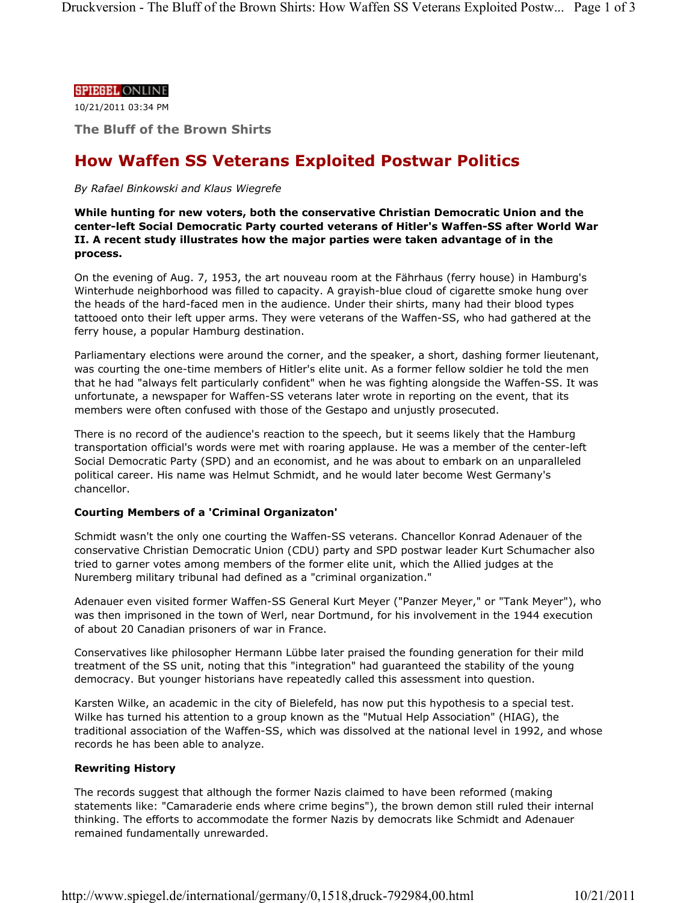## **SPIEGEL ONLINE**

10/21/2011 03:34 PM

**The Bluff of the Brown Shirts**

# **How Waffen SS Veterans Exploited Postwar Politics**

### *By Rafael Binkowski and Klaus Wiegrefe*

**While hunting for new voters, both the conservative Christian Democratic Union and the center-left Social Democratic Party courted veterans of Hitler's Waffen-SS after World War II. A recent study illustrates how the major parties were taken advantage of in the process.**

On the evening of Aug. 7, 1953, the art nouveau room at the Fährhaus (ferry house) in Hamburg's Winterhude neighborhood was filled to capacity. A grayish-blue cloud of cigarette smoke hung over the heads of the hard-faced men in the audience. Under their shirts, many had their blood types tattooed onto their left upper arms. They were veterans of the Waffen-SS, who had gathered at the ferry house, a popular Hamburg destination.

Parliamentary elections were around the corner, and the speaker, a short, dashing former lieutenant, was courting the one-time members of Hitler's elite unit. As a former fellow soldier he told the men that he had "always felt particularly confident" when he was fighting alongside the Waffen-SS. It was unfortunate, a newspaper for Waffen-SS veterans later wrote in reporting on the event, that its members were often confused with those of the Gestapo and unjustly prosecuted.

There is no record of the audience's reaction to the speech, but it seems likely that the Hamburg transportation official's words were met with roaring applause. He was a member of the center-left Social Democratic Party (SPD) and an economist, and he was about to embark on an unparalleled political career. His name was Helmut Schmidt, and he would later become West Germany's chancellor.

## **Courting Members of a 'Criminal Organizaton'**

Schmidt wasn't the only one courting the Waffen-SS veterans. Chancellor Konrad Adenauer of the conservative Christian Democratic Union (CDU) party and SPD postwar leader Kurt Schumacher also tried to garner votes among members of the former elite unit, which the Allied judges at the Nuremberg military tribunal had defined as a "criminal organization."

Adenauer even visited former Waffen-SS General Kurt Meyer ("Panzer Meyer," or "Tank Meyer"), who was then imprisoned in the town of Werl, near Dortmund, for his involvement in the 1944 execution of about 20 Canadian prisoners of war in France.

Conservatives like philosopher Hermann Lübbe later praised the founding generation for their mild treatment of the SS unit, noting that this "integration" had guaranteed the stability of the young democracy. But younger historians have repeatedly called this assessment into question.

Karsten Wilke, an academic in the city of Bielefeld, has now put this hypothesis to a special test. Wilke has turned his attention to a group known as the "Mutual Help Association" (HIAG), the traditional association of the Waffen-SS, which was dissolved at the national level in 1992, and whose records he has been able to analyze.

## **Rewriting History**

The records suggest that although the former Nazis claimed to have been reformed (making statements like: "Camaraderie ends where crime begins"), the brown demon still ruled their internal thinking. The efforts to accommodate the former Nazis by democrats like Schmidt and Adenauer remained fundamentally unrewarded.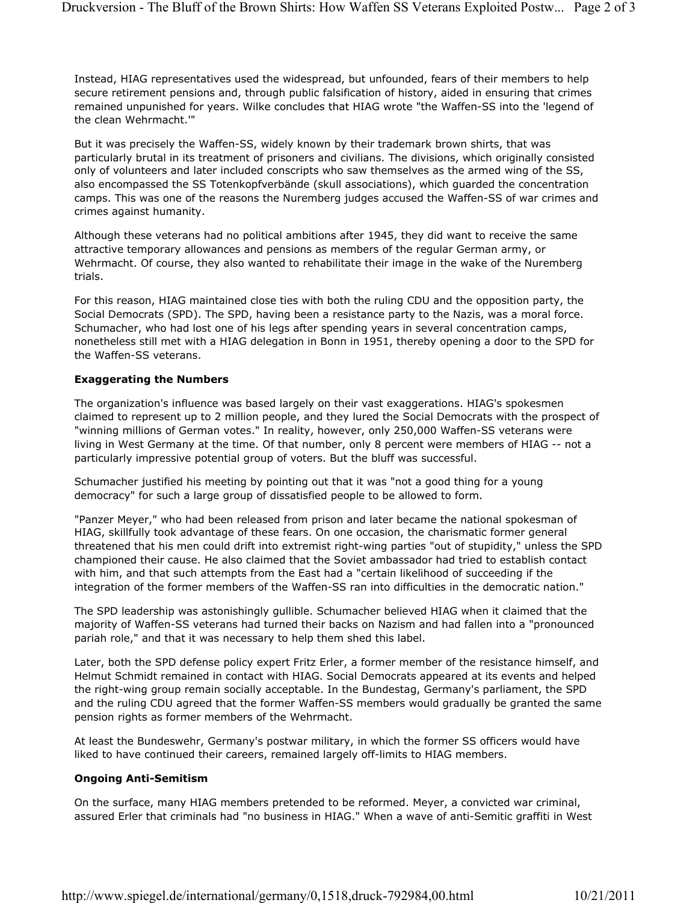Instead, HIAG representatives used the widespread, but unfounded, fears of their members to help secure retirement pensions and, through public falsification of history, aided in ensuring that crimes remained unpunished for years. Wilke concludes that HIAG wrote "the Waffen-SS into the 'legend of the clean Wehrmacht.'"

But it was precisely the Waffen-SS, widely known by their trademark brown shirts, that was particularly brutal in its treatment of prisoners and civilians. The divisions, which originally consisted only of volunteers and later included conscripts who saw themselves as the armed wing of the SS, also encompassed the SS Totenkopfverbände (skull associations), which guarded the concentration camps. This was one of the reasons the Nuremberg judges accused the Waffen-SS of war crimes and crimes against humanity.

Although these veterans had no political ambitions after 1945, they did want to receive the same attractive temporary allowances and pensions as members of the regular German army, or Wehrmacht. Of course, they also wanted to rehabilitate their image in the wake of the Nuremberg trials.

For this reason, HIAG maintained close ties with both the ruling CDU and the opposition party, the Social Democrats (SPD). The SPD, having been a resistance party to the Nazis, was a moral force. Schumacher, who had lost one of his legs after spending years in several concentration camps, nonetheless still met with a HIAG delegation in Bonn in 1951, thereby opening a door to the SPD for the Waffen-SS veterans.

## **Exaggerating the Numbers**

The organization's influence was based largely on their vast exaggerations. HIAG's spokesmen claimed to represent up to 2 million people, and they lured the Social Democrats with the prospect of "winning millions of German votes." In reality, however, only 250,000 Waffen-SS veterans were living in West Germany at the time. Of that number, only 8 percent were members of HIAG -- not a particularly impressive potential group of voters. But the bluff was successful.

Schumacher justified his meeting by pointing out that it was "not a good thing for a young democracy" for such a large group of dissatisfied people to be allowed to form.

"Panzer Meyer," who had been released from prison and later became the national spokesman of HIAG, skillfully took advantage of these fears. On one occasion, the charismatic former general threatened that his men could drift into extremist right-wing parties "out of stupidity," unless the SPD championed their cause. He also claimed that the Soviet ambassador had tried to establish contact with him, and that such attempts from the East had a "certain likelihood of succeeding if the integration of the former members of the Waffen-SS ran into difficulties in the democratic nation."

The SPD leadership was astonishingly gullible. Schumacher believed HIAG when it claimed that the majority of Waffen-SS veterans had turned their backs on Nazism and had fallen into a "pronounced pariah role," and that it was necessary to help them shed this label.

Later, both the SPD defense policy expert Fritz Erler, a former member of the resistance himself, and Helmut Schmidt remained in contact with HIAG. Social Democrats appeared at its events and helped the right-wing group remain socially acceptable. In the Bundestag, Germany's parliament, the SPD and the ruling CDU agreed that the former Waffen-SS members would gradually be granted the same pension rights as former members of the Wehrmacht.

At least the Bundeswehr, Germany's postwar military, in which the former SS officers would have liked to have continued their careers, remained largely off-limits to HIAG members.

#### **Ongoing Anti-Semitism**

On the surface, many HIAG members pretended to be reformed. Meyer, a convicted war criminal, assured Erler that criminals had "no business in HIAG." When a wave of anti-Semitic graffiti in West